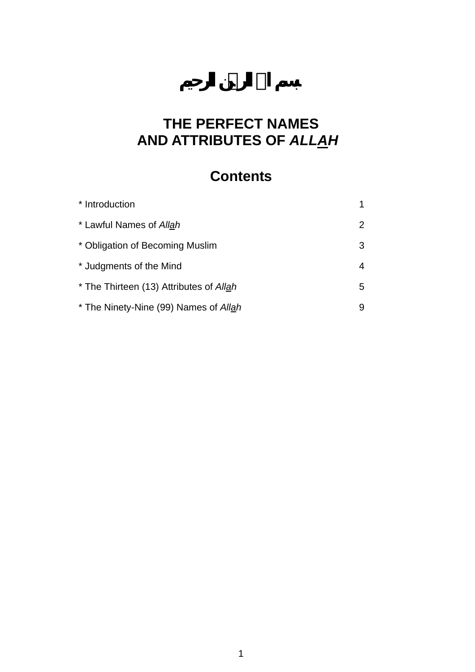# **THE PERFECT NAMES AND ATTRIBUTES OF** *ALLAH*

# **Contents**

| * Introduction                          |   |
|-----------------------------------------|---|
| * Lawful Names of Allah                 | 2 |
| * Obligation of Becoming Muslim         | 3 |
| * Judgments of the Mind                 | 4 |
| * The Thirteen (13) Attributes of Allah | 5 |
| * The Ninety-Nine (99) Names of Allah   | 9 |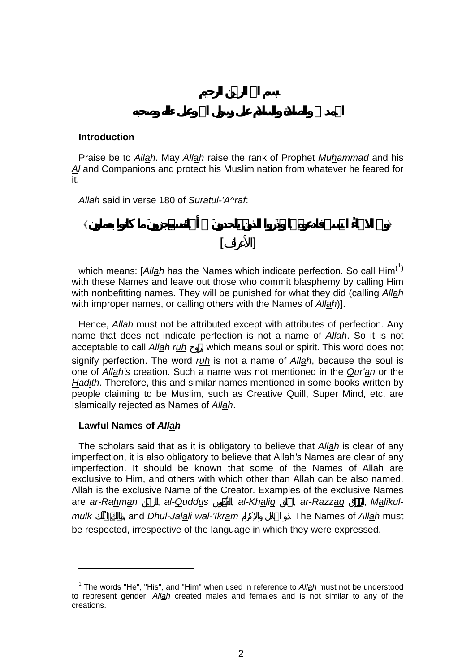### **Introduction**

Praise be to *Allah*. May *Allah* raise the rank of Prophet *Muhammad* and his *Al* and Companions and protect his Muslim nation from whatever he feared for it.

*Allah* said in verse 180 of *Suratul-'A^raf*:

**والله الحسنى ا ذَروا الذي ي نَ أسمائه ما كانوا يعملون** 

l

which means: [*All<u>a</u>h* has the Names which indicate perfection. So call Him<sup>(<sup>1</sup>[\)](#page-1-0)</sup> with these Names and leave out those who commit blasphemy by calling Him with nonbefitting names. They will be punished for what they did (calling *Allah* with improper names, or calling others with the Names of *Allah*)].

[الأعراف]

Hence, *Allah* must not be attributed except with attributes of perfection. Any name that does not indicate perfection is not a name of *Allah*. So it is not acceptable to call *Allah ruh*, which means soul or spirit. This word does not signify perfection. The word *ruh* is not a name of *Allah*, because the soul is one of *Allah's* creation. Such a name was not mentioned in the *Qur'an* or the *Hadith*. Therefore, this and similar names mentioned in some books written by people claiming to be Muslim, such as Creative Quill, Super Mind, etc. are Islamically rejected as Names of *Allah*.

## **Lawful Names of** *Allah*

The scholars said that as it is obligatory to believe that *Allah* is clear of any imperfection, it is also obligatory to believe that Allah*'s* Names are clear of any imperfection. It should be known that some of the Names of Allah are exclusive to Him, and others with which other than Allah can be also named. Allah is the exclusive Name of the Creator. Examples of the exclusive Names are ar-Rahman, al-Quddus, al-Khaliq, ar-Razzaq, Malikulmulk and *Dhul-Jalali wal-'Ikram* The Names of *Allah* must be respected, irrespective of the language in which they were expressed.

<span id="page-1-0"></span><sup>&</sup>lt;sup>1</sup> The words "He", "His", and "Him" when used in reference to *Allah* must not be understood to represent gender. *Allah* created males and females and is not similar to any of the creations.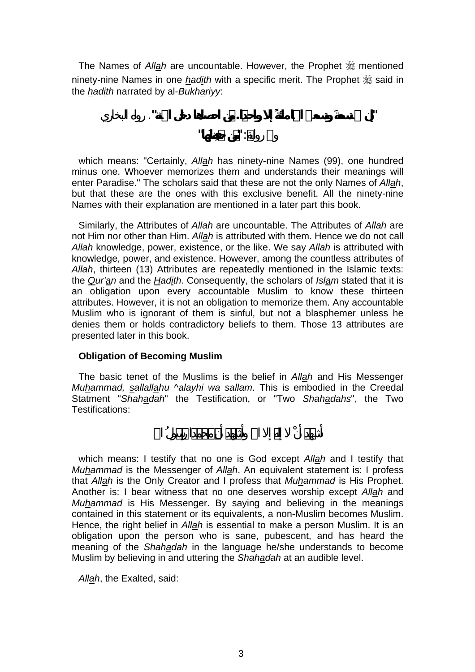The Names of *Allah* are uncountable. However, the Prophet  $\frac{dx}{dx}$  mentioned ninety-nine Names in one *hadith* with a specific merit. The Prophet  $\frac{46}{36}$  said in the *hadith* narrated by al-*Bukhariyy*:

**"إن تسعة وتسعين اسما مائ إلا واحدا. ن احصاها دخل الجنة"**. رواه البخاري وفي : **"ن "**

which means: "Certainly, *Allah* has ninety-nine Names (99), one hundred minus one. Whoever memorizes them and understands their meanings will enter Paradise." The scholars said that these are not the only Names of *Allah*, but that these are the ones with this exclusive benefit. All the ninety-nine Names with their explanation are mentioned in a later part this book.

Similarly, the Attributes of *Allah* are uncountable. The Attributes of *Allah* are not Him nor other than Him. *Allah* is attributed with them. Hence we do not call *Allah* knowledge, power, existence, or the like. We say *Allah* is attributed with knowledge, power, and existence. However, among the countless attributes of *Allah*, thirteen (13) Attributes are repeatedly mentioned in the Islamic texts: the *Qur'an* and the *Hadith*. Consequently, the scholars of *Islam* stated that it is an obligation upon every accountable Muslim to know these thirteen attributes. However, it is not an obligation to memorize them. Any accountable Muslim who is ignorant of them is sinful, but not a blasphemer unless he denies them or holds contradictory beliefs to them. Those 13 attributes are presented later in this book.

## **Obligation of Becoming Muslim**

The basic tenet of the Muslims is the belief in *Allah* and His Messenger *Muhammad, sallallahu ^alayhi wa sallam*. This is embodied in the Creedal Statment "Shahadah" the Testification, or "Two Shahadahs", the Two Testifications:

which means: I testify that no one is God except *Allah* and I testify that *Muhammad* is the Messenger of *Allah*. An equivalent statement is: I profess that *Allah* is the Only Creator and I profess that *Muhammad* is His Prophet. Another is: I bear witness that no one deserves worship except *Allah* and *Muhammad* is His Messenger. By saying and believing in the meanings contained in this statement or its equivalents, a non-Muslim becomes Muslim. Hence, the right belief in *Allah* is essential to make a person Muslim. It is an obligation upon the person who is sane, pubescent, and has heard the meaning of the *Shahadah* in the language he/she understands to become Muslim by believing in and uttering the *Shahadah* at an audible level.

*Allah*, the Exalted, said: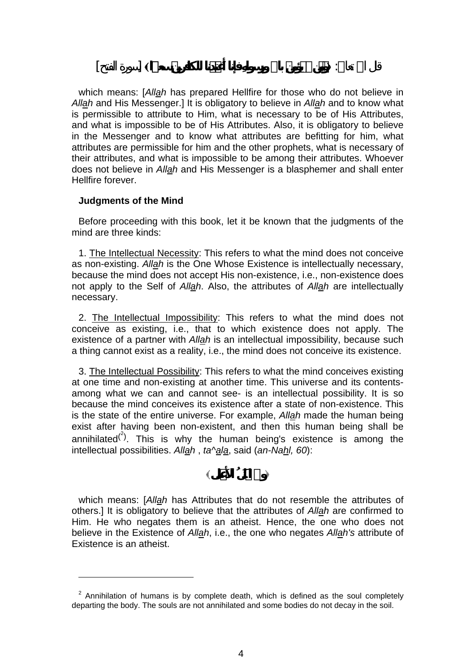قال االله تعالى: **من باالله فإنا َعتدنا للك سعيرا**] سورة الفتح]

which means: [*Allah* has prepared Hellfire for those who do not believe in *Allah* and His Messenger.] It is obligatory to believe in *Allah* and to know what is permissible to attribute to Him, what is necessary to be of His Attributes, and what is impossible to be of His Attributes. Also, it is obligatory to believe in the Messenger and to know what attributes are befitting for him, what attributes are permissible for him and the other prophets, what is necessary of their attributes, and what is impossible to be among their attributes. Whoever does not believe in *Allah* and His Messenger is a blasphemer and shall enter Hellfire forever.

#### **Judgments of the Mind**

l

Before proceeding with this book, let it be known that the judgments of the mind are three kinds:

1. The Intellectual Necessity: This refers to what the mind does not conceive as non-existing. *Allah* is the One Whose Existence is intellectually necessary, because the mind does not accept His non-existence, i.e., non-existence does not apply to the Self of *Allah*. Also, the attributes of *Allah* are intellectually necessary.

2. The Intellectual Impossibility: This refers to what the mind does not conceive as existing, i.e., that to which existence does not apply. The existence of a partner with *Allah* is an intellectual impossibility, because such a thing cannot exist as a reality, i.e., the mind does not conceive its existence.

3. The Intellectual Possibility: This refers to what the mind conceives existing at one time and non-existing at another time. This universe and its contentsamong what we can and cannot see- is an intellectual possibility. It is so because the mind conceives its existence after a state of non-existence. This is the state of the entire universe. For example, *Allah* made the human being exist after having been non-existent, and then this human being shall be annihilated $^{(2)}$  $^{(2)}$  $^{(2)}$ . This is why the human being's existence is among the intellectual possibilities. *Allah* , *ta^ala*, said (*an-Nahl, 60*):

**والله لمَثَلُ لى**

which means: [*Allah* has Attributes that do not resemble the attributes of others.] It is obligatory to believe that the attributes of *Allah* are confirmed to Him. He who negates them is an atheist. Hence, the one who does not believe in the Existence of *Allah*, i.e., the one who negates *Allah's* attribute of Existence is an atheist.

<span id="page-3-0"></span> $2$  Annihilation of humans is by complete death, which is defined as the soul completely departing the body. The souls are not annihilated and some bodies do not decay in the soil.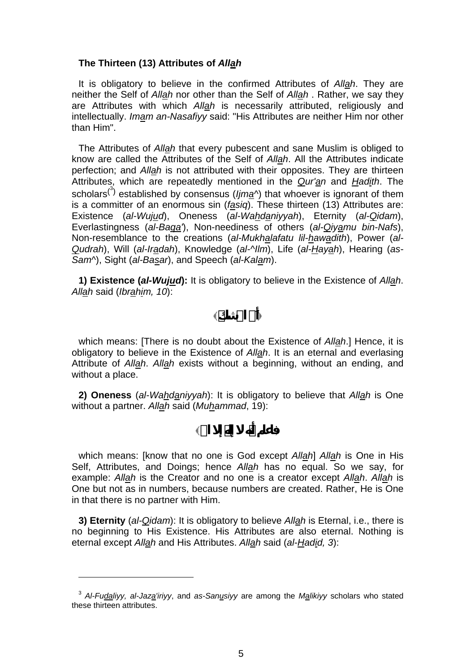### **The Thirteen (13) Attributes of** *Allah*

It is obligatory to believe in the confirmed Attributes of *Allah*. They are neither the Self of *Allah* nor other than the Self of *Allah* . Rather, we say they are Attributes with which *Allah* is necessarily attributed, religiously and intellectually. *Imam an-Nasafiyy* said: "His Attributes are neither Him nor other than Him".

The Attributes of *Allah* that every pubescent and sane Muslim is obliged to know are called the Attributes of the Self of *Allah*. All the Attributes indicate perfection; and *Allah* is not attributed with their opposites. They are thirteen Attributes, which are repeatedly mentioned in the *Qur'an* and *Hadith*. The scholars<sup>(3[\)](#page-4-0)</sup> established by consensus (*ljma*<sup>^</sup>) that whoever is ignorant of them is a committer of an enormous sin (*fasiq*). These thirteen (13) Attributes are: Existence (*al-Wujud*), Oneness (*al-Wahdaniyyah*), Eternity (*al-Qidam*), Everlastingness (*al-Baqa'*), Non-neediness of others (*al-Qiyamu bin-Nafs*), Non-resemblance to the creations (*al-Mukhalafatu lil-hawadith*), Power (*al-Qudrah*), Will (*al-Iradah*), Knowledge (*al-^Ilm*), Life (*al-Hayah*), Hearing (*as-Sam^*), Sight (*al-Basar*), and Speech (*al-Kalam*).

**1) Existence (***al-Wujud***):** It is obligatory to believe in the Existence of *Allah*. *Allah* said (*Ibrahim, 10*):

**َفي االله**

which means: [There is no doubt about the Existence of *Allah*.] Hence, it is obligatory to believe in the Existence of *Allah*. It is an eternal and everlasing Attribute of *Allah*. *Allah* exists without a beginning, without an ending, and without a place.

**2) Oneness** (*al-Wahdaniyyah*): It is obligatory to believe that *Allah* is One without a partner. *Allah* said (*Muhammad*, 19):

**فاعلم أنه إلا االله**

which means: [know that no one is God except *Allah*] *Allah* is One in His Self, Attributes, and Doings; hence *Allah* has no equal. So we say, for example: *Allah* is the Creator and no one is a creator except *Allah*. *Allah* is One but not as in numbers, because numbers are created. Rather, He is One in that there is no partner with Him.

**3) Eternity** (*al-Qidam*): It is obligatory to believe *Allah* is Eternal, i.e., there is no beginning to His Existence. His Attributes are also eternal. Nothing is eternal except *Allah* and His Attributes. *Allah* said (*al-Hadid, 3*):

l

<span id="page-4-0"></span><sup>3</sup> *Al-Fudaliyy, al-Jaza'iriyy*, and *as-Sanusiyy* are among the *Malikiyy* scholars who stated these thirteen attributes.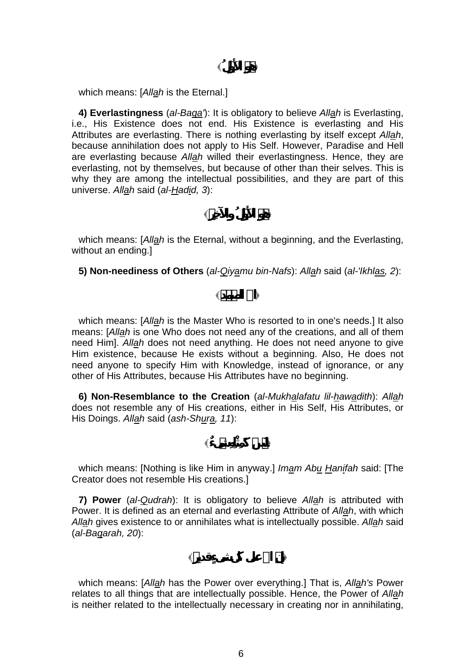**هو لأَ لُ**

which means: [*Allah* is the Eternal.]

**4) Everlastingness** (*al-Baqa'*): It is obligatory to believe *Allah* is Everlasting, i.e., His Existence does not end. His Existence is everlasting and His Attributes are everlasting. There is nothing everlasting by itself except *Allah*, because annihilation does not apply to His Self. However, Paradise and Hell are everlasting because *Allah* willed their everlastingness. Hence, they are everlasting, not by themselves, but because of other than their selves. This is why they are among the intellectual possibilities, and they are part of this universe. *Allah* said (*al-Hadid, 3*):

**هو لأَ لُ والآخ**

which means: [*Allah* is the Eternal, without a beginning, and the Everlasting, without an ending.]

**5) Non-neediness of Others** (*al-Qiyamu bin-Nafs*): *Allah* said (*al-'Ikhlas, 2*):

**االله مد**

which means: [*Allah* is the Master Who is resorted to in one's needs.] It also means: [*Allah* is one Who does not need any of the creations, and all of them need Him]. *Allah* does not need anything. He does not need anyone to give Him existence, because He exists without a beginning. Also, He does not need anyone to specify Him with Knowledge, instead of ignorance, or any other of His Attributes, because His Attributes have no beginning.

**6) Non-Resemblance to the Creation** (*al-Mukhalafatu lil-hawadith*): *Allah* does not resemble any of His creations, either in His Self, His Attributes, or His Doings. *Allah* said (*ash-Shura, 11*):

 $\frac{1}{2}$ 

which means: [Nothing is like Him in anyway.] *Imam Abu Hanifah* said: [The Creator does not resemble His creations.]

**7) Power** (*al-Qudrah*): It is obligatory to believe *Allah* is attributed with Power. It is defined as an eternal and everlasting Attribute of *Allah*, with which *Allah* gives existence to or annihilates what is intellectually possible. *Allah* said (*al-Baqarah, 20*):

**االله على كل**

which means: [*Allah* has the Power over everything.] That is, *Allah's* Power relates to all things that are intellectually possible. Hence, the Power of *Allah* is neither related to the intellectually necessary in creating nor in annihilating,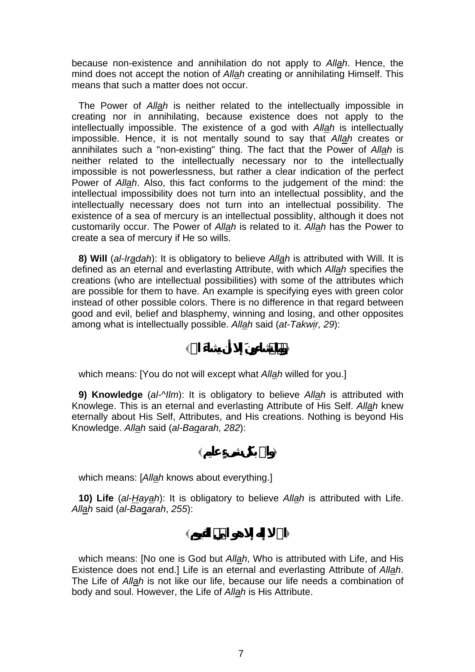because non-existence and annihilation do not apply to *Allah*. Hence, the mind does not accept the notion of *Allah* creating or annihilating Himself. This means that such a matter does not occur.

The Power of *Allah* is neither related to the intellectually impossible in creating nor in annihilating, because existence does not apply to the intellectually impossible. The existence of a god with *Allah* is intellectually impossible. Hence, it is not mentally sound to say that *Allah* creates or annihilates such a "non-existing" thing. The fact that the Power of *Allah* is neither related to the intellectually necessary nor to the intellectually impossible is not powerlessness, but rather a clear indication of the perfect Power of *Allah*. Also, this fact conforms to the judgement of the mind: the intellectual impossibility does not turn into an intellectual possiblity, and the intellectually necessary does not turn into an intellectual possibility. The existence of a sea of mercury is an intellectual possiblity, although it does not customarily occur. The Power of *Allah* is related to it. *Allah* has the Power to create a sea of mercury if He so wills.

**8) Will** (*al-Iradah*): It is obligatory to believe *Allah* is attributed with Will. It is defined as an eternal and everlasting Attribute, with which *Allah* specifies the creations (who are intellectual possibilities) with some of the attributes which are possible for them to have. An example is specifying eyes with green color instead of other possible colors. There is no difference in that regard between good and evil, belief and blasphemy, winning and losing, and other opposites among what is intellectually possible. *Allah* said (*at-Takwir, 29*):

**ما إلا أن االله**

which means: [You do not will except what *Allah* willed for you.]

**9) Knowledge** (*al-^Ilm*): It is obligatory to believe *Allah* is attributed with Knowlege. This is an eternal and everlasting Attribute of His Self. *Allah* knew eternally about His Self, Attributes, and His creations. Nothing is beyond His Knowledge. *Allah* said (*al-Baqarah, 282*):

**واالله بكل عليم**

which means: [*Allah* knows about everything.]

**10) Life** (*al-Hayah*): It is obligatory to believe *Allah* is attributed with Life. *Allah* said (*al-Baqarah*, *255*):

**االله إله إلا هو القيوم**

which means: [No one is God but *Allah*, Who is attributed with Life, and His Existence does not end.] Life is an eternal and everlasting Attribute of *Allah*. The Life of *Allah* is not like our life, because our life needs a combination of body and soul. However, the Life of *Allah* is His Attribute.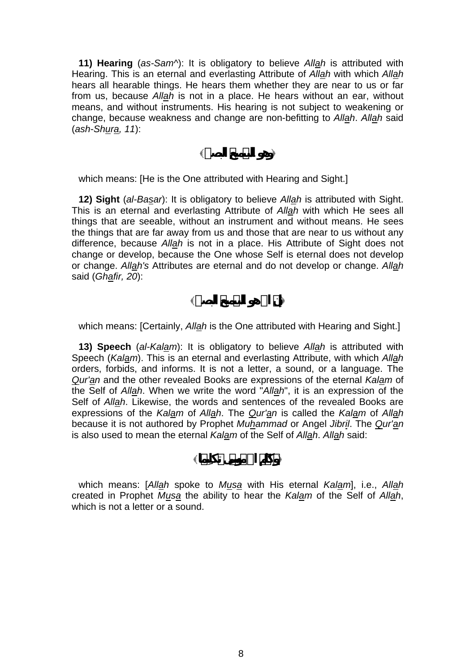**11) Hearing** (*as-Sam^*): It is obligatory to believe *Allah* is attributed with Hearing. This is an eternal and everlasting Attribute of *Allah* with which *Allah* hears all hearable things. He hears them whether they are near to us or far from us, because *Allah* is not in a place. He hears without an ear, without means, and without instruments. His hearing is not subject to weakening or change, because weakness and change are non-befitting to *Allah*. *Allah* said (*ash-Shura, 11*):

**وهو البصير**

which means: [He is the One attributed with Hearing and Sight.]

**12) Sight** (*al-Basar*): It is obligatory to believe *Allah* is attributed with Sight. This is an eternal and everlasting Attribute of *Allah* with which He sees all things that are seeable, without an instrument and without means. He sees the things that are far away from us and those that are near to us without any difference, because *Allah* is not in a place. His Attribute of Sight does not change or develop, because the One whose Self is eternal does not develop or change. *Allah's* Attributes are eternal and do not develop or change. *Allah* said (*Ghafir, 20*):

**االله هو البصير**

which means: [Certainly, *Allah* is the One attributed with Hearing and Sight.]

**13) Speech** (*al-Kalam*): It is obligatory to believe *Allah* is attributed with Speech (*Kalam*). This is an eternal and everlasting Attribute, with which *Allah* orders, forbids, and informs. It is not a letter, a sound, or a language. The *Qur'an* and the other revealed Books are expressions of the eternal *Kalam* of the Self of *Allah*. When we write the word "*Allah*", it is an expression of the Self of *Allah*. Likewise, the words and sentences of the revealed Books are expressions of the *Kalam* of *Allah*. The *Qur'an* is called the *Kalam* of *Allah* because it is not authored by Prophet *Muhammad* or Angel *Jibril*. The *Qur'an* is also used to mean the eternal *Kalam* of the Self of *Allah*. *Allah* said:

which means: [*Allah* spoke to *Musa* with His eternal *Kalam*], i.e., *Allah* created in Prophet *Musa* the ability to hear the *Kalam* of the Self of *Allah*, which is not a letter or a sound.

**االله وسى كِيما**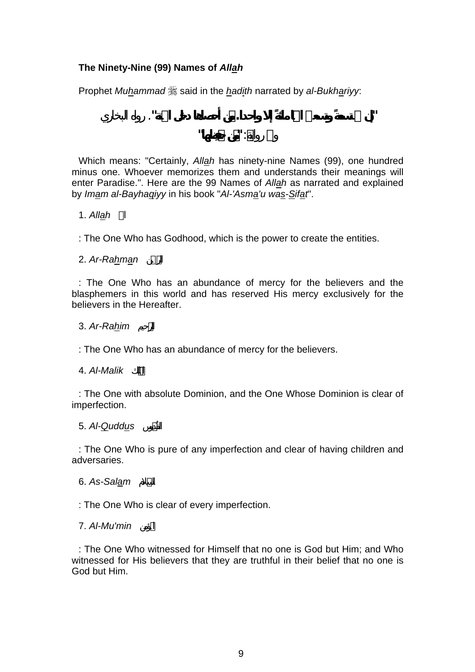# **The Ninety-Nine (99) Names of** *Allah*

Prophet *Muhammad*  $\frac{1}{20}$  said in the *hadith* narrated by al-Bukhariyy:

**"إن تسعة وتسعين اسما مائ إلا واحدا. ن أحصاها دخل الجنة"**. رواه البخاري وفي : **"ن فِظها"**

Which means: "Certainly, *Allah* has ninety-nine Names (99), one hundred minus one. Whoever memorizes them and understands their meanings will enter Paradise.". Here are the 99 Names of *Allah* as narrated and explained by *Imam al-Bayhaqiyy* in his book "*Al-'Asma'u was-Sifat*".

## االله *Allah* 1.

: The One Who has Godhood, which is the power to create the entities.

## 2. Ar-Rahman

: The One Who has an abundance of mercy for the believers and the blasphemers in this world and has reserved His mercy exclusively for the believers in the Hereafter.

## 3. *Ar-Rahim* حيمالر

: The One Who has an abundance of mercy for the believers.

## 4. *Al-Malik* كَل

: The One with absolute Dominion, and the One Whose Dominion is clear of imperfection.

# 5. *Al-Quddus* وس

: The One Who is pure of any imperfection and clear of having children and adversaries.

## 6. As-Salam

: The One Who is clear of every imperfection.

## 7. *Al-Mu'min* المؤمن

: The One Who witnessed for Himself that no one is God but Him; and Who witnessed for His believers that they are truthful in their belief that no one is God but Him.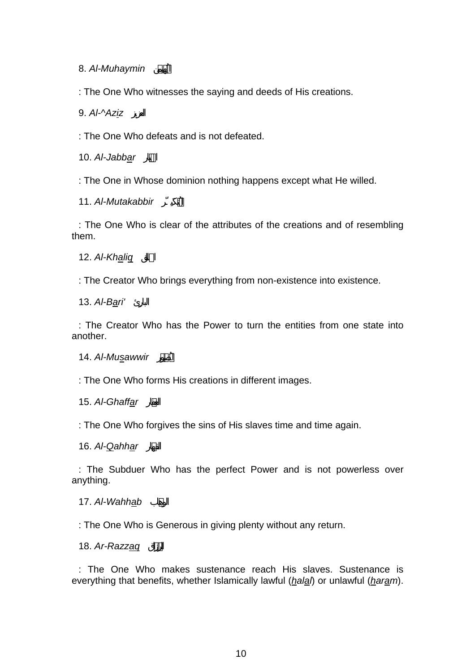8. Al-Muhaymin

: The One Who witnesses the saying and deeds of His creations.

9. Al-^Aziz

: The One Who defeats and is not defeated.

10. Al-Jabbar

: The One in Whose dominion nothing happens except what He willed.

11. Al-Mutakabbir

: The One Who is clear of the attributes of the creations and of resembling them.

12. Al-Khalig

: The Creator Who brings everything from non-existence into existence.

13. Al-Bari'

: The Creator Who has the Power to turn the entities from one state into another.

14. Al-Musawwir

: The One Who forms His creations in different images.

15. Al-Ghaffar

: The One Who forgives the sins of His slaves time and time again.

16. Al-**Qahhar** 

: The Subduer Who has the perfect Power and is not powerless over anything.

17. Al-Wahhab

: The One Who is Generous in giving plenty without any return.

18. *Ar-Razzaq*

: The One Who makes sustenance reach His slaves. Sustenance is everything that benefits, whether Islamically lawful (*halal*) or unlawful (*haram*).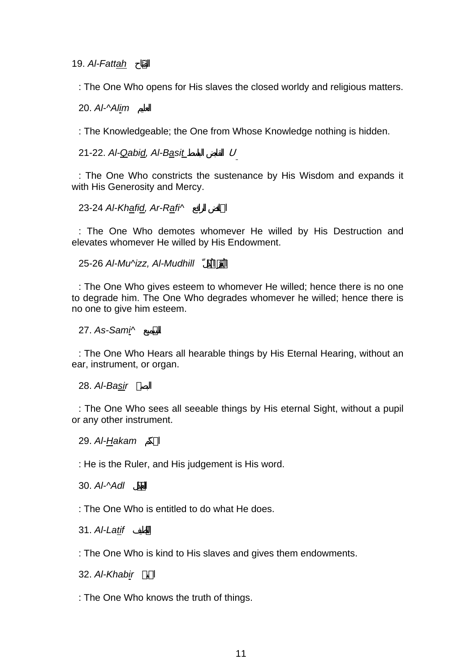19. *Al-Fattah* اح

: The One Who opens for His slaves the closed worldy and religious matters.

20. *Al-^Alim* العليم

: The Knowledgeable; the One from Whose Knowledge nothing is hidden.

21-22. *Al-Qabid, Al-Basit* الباسط القابض <sup>U</sup>

: The One Who constricts the sustenance by His Wisdom and expands it with His Generosity and Mercy.

23-24 Al-Khafid, Ar-Rafi^

: The One Who demotes whomever He willed by His Destruction and elevates whomever He willed by His Endowment.

25-26 *Al-Mu^izz, Al-Mudhill* لّ

: The One Who gives esteem to whomever He willed; hence there is no one to degrade him. The One Who degrades whomever he willed; hence there is no one to give him esteem.

27. *As-Sami^* ميعالس

: The One Who Hears all hearable things by His Eternal Hearing, without an ear, instrument, or organ.

28. *Al-Basir* لبصير

: The One Who sees all seeable things by His eternal Sight, without a pupil or any other instrument.

29. *Al-Hakam* الحكَم

: He is the Ruler, and His judgement is His word.

30. *Al-^Adl* لدالع

: The One Who is entitled to do what He does.

31. *Al-Latif* اللَّطيف

: The One Who is kind to His slaves and gives them endowments.

32. Al-Khabir

: The One Who knows the truth of things.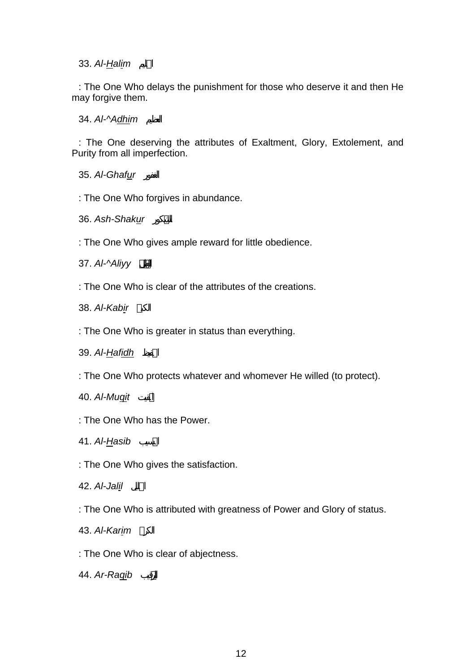# 33. *Al-Halim* الحليم

: The One Who delays the punishment for those who deserve it and then He may forgive them.

34. Al-^Adhim

: The One deserving the attributes of Exaltment, Glory, Extolement, and Purity from all imperfection.

35. Al-Ghafur

: The One Who forgives in abundance.

36. Ash-Shakur

: The One Who gives ample reward for little obedience.

37. *Al-^Aliyy*

: The One Who is clear of the attributes of the creations.

38. Al-Kabir

: The One Who is greater in status than everything.

39. Al-**Hafidh** 

: The One Who protects whatever and whomever He willed (to protect).

40. *Al-Muqit* المقيت

: The One Who has the Power.

41. *Al-Hasib* الحسيب

: The One Who gives the satisfaction.

42. *Al-Jalil* الجليل

: The One Who is attributed with greatness of Power and Glory of status.

43. *Al-Karim* الك

: The One Who is clear of abjectness.

44. Ar-Raqib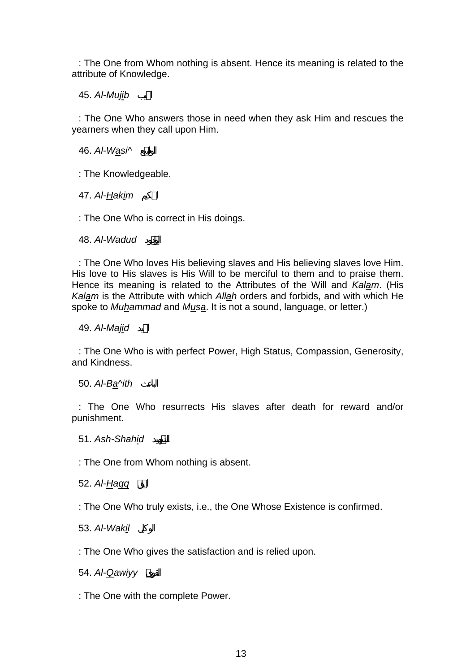: The One from Whom nothing is absent. Hence its meaning is related to the attribute of Knowledge.

45. *Al-Mujib* يبا

: The One Who answers those in need when they ask Him and rescues the yearners when they call upon Him.

46. *Al-Wasi^* علواس

: The Knowledgeable.

47. Al-Hakim

: The One Who is correct in His doings.

48. *Al-Wadud* ود

: The One Who loves His believing slaves and His believing slaves love Him. His love to His slaves is His Will to be merciful to them and to praise them. Hence its meaning is related to the Attributes of the Will and *Kalam*. (His *Kalam* is the Attribute with which *Allah* orders and forbids, and with which He spoke to *Muhammad* and *Musa*. It is not a sound, language, or letter.)

49. *Al-Majid* يدا

: The One Who is with perfect Power, High Status, Compassion, Generosity, and Kindness.

50. Al-Ba<sup> $\land$ ith</sup>

: The One Who resurrects His slaves after death for reward and/or punishment.

51. Ash-Shahid

: The One from Whom nothing is absent.

52. *Al-Haqq*

: The One Who truly exists, i.e., the One Whose Existence is confirmed.

53. *Al-Wakil* الوكيل

: The One Who gives the satisfaction and is relied upon.

54. *Al-Qawiyy*

: The One with the complete Power.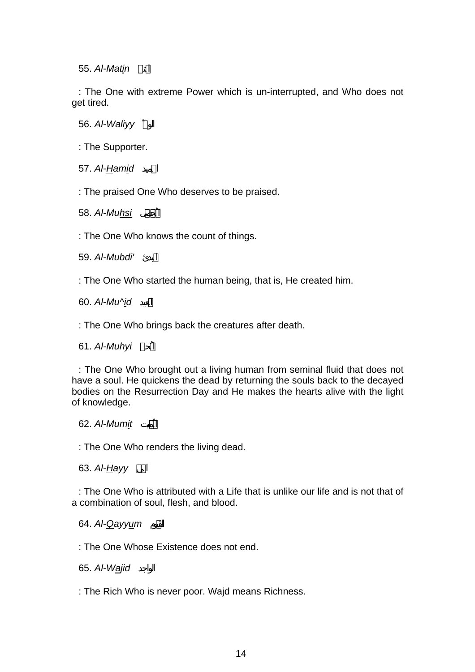55. *Al-Matin* المتين

: The One with extreme Power which is un-interrupted, and Who does not get tired.

56. *Al-Waliyy*

: The Supporter.

57. *Al-Hamid* الحميد

: The praised One Who deserves to be praised.

58. *Al-Muhsi* ىصالمُح

: The One Who knows the count of things.

59. *Al-Mubdi'* المبدئ

: The One Who started the human being, that is, He created him.

60. Al-Mu^id

: The One Who brings back the creatures after death.

61. *Al-Muhyi* ُحيى

: The One Who brought out a living human from seminal fluid that does not have a soul. He quickens the dead by returning the souls back to the decayed bodies on the Resurrection Day and He makes the hearts alive with the light of knowledge.

62. *Al-Mumit* يت

: The One Who renders the living dead.

63. *Al-Hayy*

: The One Who is attributed with a Life that is unlike our life and is not that of a combination of soul, flesh, and blood.

64. Al-Qayyum

: The One Whose Existence does not end.

65. Al-Wajid

: The Rich Who is never poor. Wajd means Richness.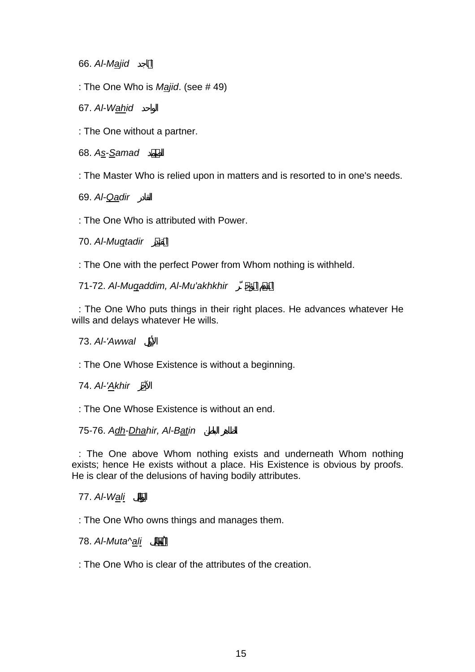66. Al-Majid

: The One Who is *Majid*. (see # 49)

67. Al-Wahid

: The One without a partner.

68. *As-Samad* دمالص

: The Master Who is relied upon in matters and is resorted to in one's needs.

69. *Al-Qadir* القادر

: The One Who is attributed with Power.

70. Al-Muqtadir

: The One with the perfect Power from Whom nothing is withheld.

71-72. Al-Mugaddim, Al-Mu'akhkhir

: The One Who puts things in their right places. He advances whatever He wills and delays whatever He wills.

# 73. *Al-'Awwal* لالأو

: The One Whose Existence is without a beginning.

74. Al-'Akhir

: The One Whose Existence is without an end.

# 75-76. Adh-Dhahir, Al-Batin

: The One above Whom nothing exists and underneath Whom nothing exists; hence He exists without a place. His Existence is obvious by proofs. He is clear of the delusions of having bodily attributes.

# 77. *Al-Wali* ال

: The One Who owns things and manages them.

78. *Al-Muta^ali*

: The One Who is clear of the attributes of the creation.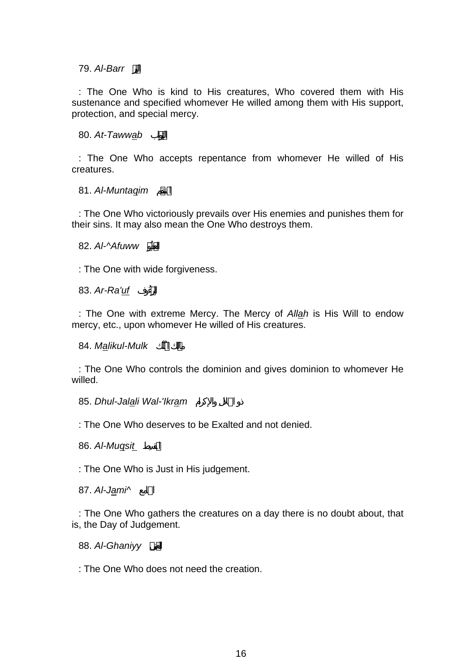79. *Al-Barr*

: The One Who is kind to His creatures, Who covered them with His sustenance and specified whomever He willed among them with His support, protection, and special mercy.

80. *At-Tawwab*

: The One Who accepts repentance from whomever He willed of His creatures.

81. Al-Muntagim

: The One Who victoriously prevails over His enemies and punishes them for their sins. It may also mean the One Who destroys them.

82. *Al-^Afuww* فُ

: The One with wide forgiveness.

83. Ar-Ra'uf

: The One with extreme Mercy. The Mercy of *Allah* is His Will to endow mercy, etc., upon whomever He willed of His creatures.

مالك ُلْك *Mulk-Malikul* 84.

: The One Who controls the dominion and gives dominion to whomever He willed.

85. Dhul-Jalali Wal-'Ikram

: The One Who deserves to be Exalted and not denied.

86. Al-Mugsit

: The One Who is Just in His judgement.

87. Al-Jami^

: The One Who gathers the creatures on a day there is no doubt about, that is, the Day of Judgement.

88. *Al-Ghaniyy*

: The One Who does not need the creation.